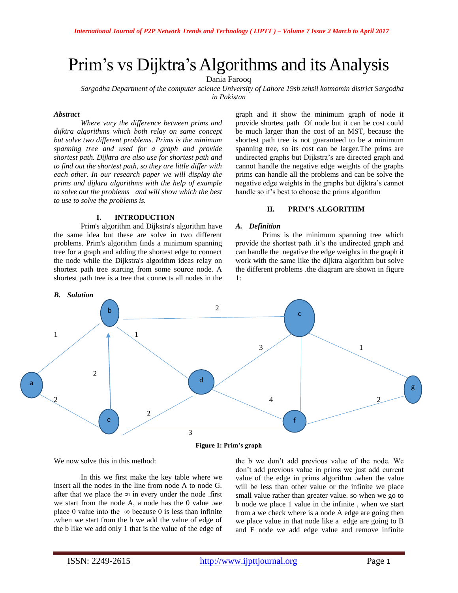# Prim's vs Dijktra's Algorithms and its Analysis

Dania Farooq

*Sargodha Department of the computer science University of Lahore 19sb tehsil kotmomin district Sargodha in Pakistan*

#### *Abstract*

*Where vary the difference between prims and dijktra algorithms which both relay on same concept but solve two different problems. Prims is the minimum spanning tree and used for a graph and provide shortest path. Dijktra are also use for shortest path and to find out the shortest path, so they are little differ with each other. In our research paper we will display the prims and dijktra algorithms with the help of example to solve out the problems and will show which the best to use to solve the problems is.* 

#### **I. INTRODUCTION**

Prim's algorithm and Dijkstra's algorithm have the same idea but these are solve in two different problems. Prim's algorithm finds a minimum spanning tree for a graph and adding the shortest edge to connect the node while the Dijkstra's algorithm ideas relay on shortest path tree starting from some source node. A shortest path tree is a tree that connects all nodes in the graph and it show the minimum graph of node it provide shortest path Of node but it can be cost could be much larger than the cost of an MST, because the shortest path tree is not guaranteed to be a minimum spanning tree, so its cost can be larger.The prims are undirected graphs but Dijkstra's are directed graph and cannot handle the negative edge weights of the graphs prims can handle all the problems and can be solve the negative edge weights in the graphs but dijktra's cannot handle so it's best to choose the prims algorithm

## **II. PRIM'S ALGORITHM**

# *A. Definition*

Prims is the minimum spanning tree which provide the shortest path .it's the undirected graph and can handle the negative the edge weights in the graph it work with the same like the dijktra algorithm but solve the different problems .the diagram are shown in figure 1:



We now solve this in this method:

In this we first make the key table where we insert all the nodes in the line from node A to node G. after that we place the  $\infty$  in every under the node .first we start from the node A, a node has the 0 value .we place 0 value into the  $\infty$  because 0 is less than infinite .when we start from the b we add the value of edge of the b like we add only 1 that is the value of the edge of the b we don't add previous value of the node. We don't add previous value in prims we just add current value of the edge in prims algorithm .when the value will be less than other value or the infinite we place small value rather than greater value. so when we go to b node we place 1 value in the infinite , when we start from a we check where is a node A edge are going then we place value in that node like a edge are going to B and E node we add edge value and remove infinite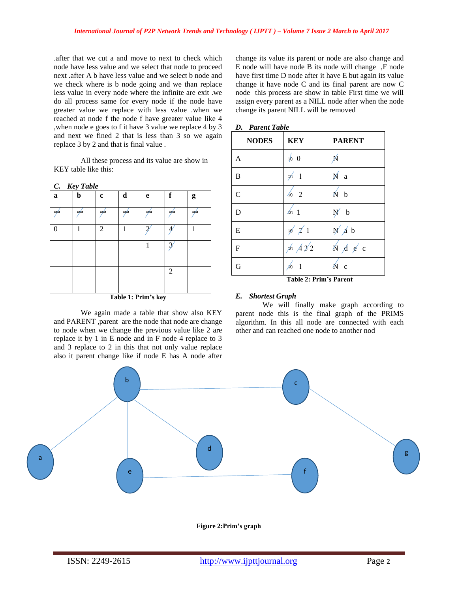.after that we cut a and move to next to check which node have less value and we select that node to proceed next .after A b have less value and we select b node and we check where is b node going and we than replace less value in every node where the infinite are exit .we do all process same for every node if the node have greater value we replace with less value .when we reached at node f the node f have greater value like 4 ,when node e goes to f it have 3 value we replace 4 by 3 and next we fined 2 that is less than 3 so we again replace 3 by 2 and that is final value .

All these process and its value are show in KEY table like this:

|  |  | <b>Key Table</b> |
|--|--|------------------|
|--|--|------------------|

| a                   | b  | c              | d  | e | f              | g  |
|---------------------|----|----------------|----|---|----------------|----|
| 00                  | o6 | 96             | 00 | ∞ | ąю             | 90 |
|                     | 1  | $\overline{c}$ |    | Ξ |                |    |
|                     |    |                |    | 1 | 2              |    |
|                     |    |                |    |   |                |    |
|                     |    |                |    |   | $\overline{c}$ |    |
|                     |    |                |    |   |                |    |
| Toble 1. Drim's low |    |                |    |   |                |    |

**Table 1: Prim's key**

We again made a table that show also KEY and PARENT ,parent are the node that node are change to node when we change the previous value like 2 are replace it by 1 in E node and in F node 4 replace to 3 and 3 replace to 2 in this that not only value replace also it parent change like if node E has A node after change its value its parent or node are also change and E node will have node B its node will change ,F node have first time D node after it have E but again its value change it have node C and its final parent are now C node this process are show in table First time we will assign every parent as a NILL node after when the node change its parent NILL will be removed

| <b>NODES</b>   | <b>KEY</b>               | <b>PARENT</b>                                                       |
|----------------|--------------------------|---------------------------------------------------------------------|
| $\mathbf{A}$   | $\phi$ 0                 | Ń                                                                   |
| B              | $\phi$<br>$\overline{1}$ | Ń<br>a                                                              |
| $\mathcal{C}$  | $\frac{1}{2}$            | $\overline{N}$ b                                                    |
| D              | $\& 1$                   | $\mathbf b$<br>Ņ                                                    |
| ${\bf E}$      | $\phi$ 2 1               | N/d b                                                               |
| $\overline{F}$ | $\&$ $\cancel{4}32$      | $\stackrel{\cdot}{N}$ $\stackrel{\cdot}{A}$ $\stackrel{\cdot}{e}$ c |
| G              |                          | $\sqrt{ }$<br>$\mathbf{c}$                                          |

**Table 2: Prim's Parent**

## *E. Shortest Graph*

We will finally make graph according to parent node this is the final graph of the PRIMS algorithm. In this all node are connected with each other and can reached one node to another nod



**Figure 2:Prim's graph**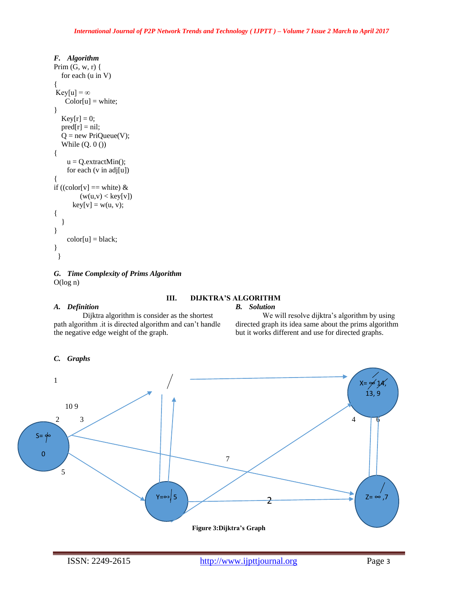# *F. Algorithm*  Prim  $(G, w, r)$  { for each (u in V) {  $Key[u] = \infty$  $Color[u] = white;$ }  $Key[r] = 0;$  $pred[r] = nil;$  $Q = new PriQueue(V);$ While  $(Q. 0 ()$ {  $u = Q$ .extractMin(); for each (v in adj[u]) { if ((color[v] == white)  $&$  $(w(u,v) < key[v])$  $key[v] = w(u, v);$ { } }  $color[u] = black;$ } }

# *G. Time Complexity of Prims Algorithm*  O(log n)

## *A. Definition*

#### **III. DIJKTRA'S ALGORITHM**  *B. Solution*

Dijktra algorithm is consider as the shortest path algorithm .it is directed algorithm and can't handle the negative edge weight of the graph.

# We will resolve dijktra's algorithm by using directed graph its idea same about the prims algorithm but it works different and use for directed graphs.

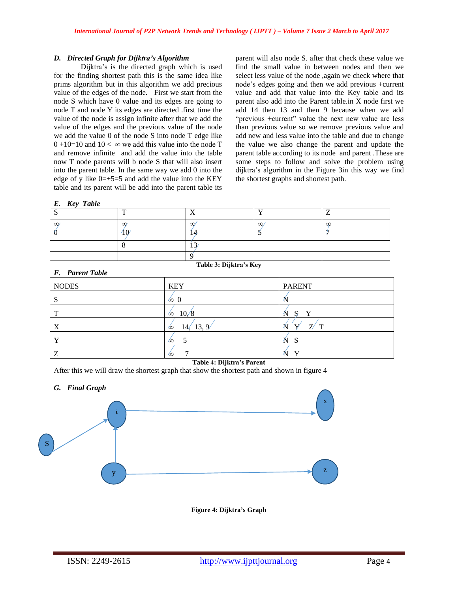## *D. Directed Graph for Dijktra's Algorithm*

Dijktra's is the directed graph which is used for the finding shortest path this is the same idea like prims algorithm but in this algorithm we add precious value of the edges of the node. First we start from the node S which have 0 value and its edges are going to node T and node Y its edges are directed .first time the value of the node is assign infinite after that we add the value of the edges and the previous value of the node we add the value 0 of the node S into node T edge like  $0 + 10 = 10$  and  $10 < \infty$  we add this value into the node T and remove infinite and add the value into the table now T node parents will b node S that will also insert into the parent table. In the same way we add 0 into the edge of y like  $0=+5=5$  and add the value into the KEY table and its parent will be add into the parent table its

parent will also node S. after that check these value we find the small value in between nodes and then we select less value of the node ,again we check where that node's edges going and then we add previous +current value and add that value into the Key table and its parent also add into the Parent table.in X node first we add 14 then 13 and then 9 because when we add "previous +current" value the next new value are less than previous value so we remove previous value and add new and less value into the table and due to change the value we also change the parent and update the parent table according to its node and parent .These are some steps to follow and solve the problem using dijktra's algorithm in the Figure 3in this way we find the shortest graphs and shortest path.

| Kev | <b>Table</b> |
|-----|--------------|
|     |              |

|          | - -        |   |  |
|----------|------------|---|--|
| $\alpha$ | $\tilde{}$ | ∼ |  |
|          |            |   |  |
|          |            |   |  |
|          |            |   |  |

**Table 3: Dijktra's Key**

*F. Parent Table* 

| $\sim$ $\sim$ $\sim$ $\sim$ $\sim$ $\sim$ $\sim$ $\sim$ |                     |                         |
|---------------------------------------------------------|---------------------|-------------------------|
| <b>NODES</b>                                            | <b>KEY</b>          | <b>PARENT</b>           |
| S                                                       | $\infty$ 0          |                         |
| T                                                       | 10/8<br>60          | v<br>Ν<br>S             |
| X                                                       | 13, 9/<br>14.<br>60 | $\mathbf{z}$<br>ΚI<br>௱ |
| Y                                                       | $\infty$            | N<br>S                  |
| Z                                                       | ÓΟ                  | $\bf v$                 |

#### **Table 4: Dijktra's Parent**

After this we will draw the shortest graph that show the shortest path and shown in figure 4

# *G. Final Graph*



**Figure 4: Dijktra's Graph**